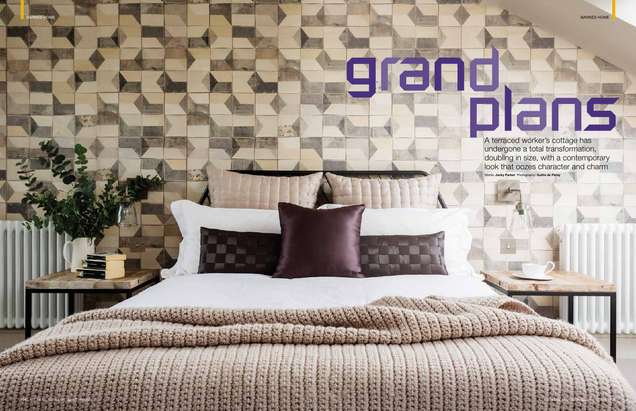

A terraced worker's cottage has undergone a total transformation, doubling in size, with a contemporary look that oozes character and charm Words: **Jacky Parker** Photography: **Guifre de Peray**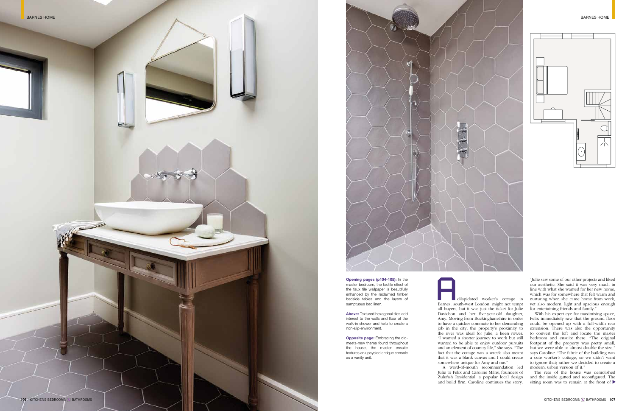A word-of-mouth recommendation led Julie to Felix and Caroline Milns, founders of Zulufish Residential, a popular local design<br>and build firm. Caroline continues the story.

**Opening pages (p104-105):** In the master bedroom, the tactile effect of the faux tile wallpaper is beautifully enhanced by the reclaimed timber bedside tables and the layers of sumptuous bed linen.

> With his expert eye for maximising space, Felix immediately saw that the ground floor could be opened up with a full-width rear extension. There was also the opportunity to convert the loft and locate the master bedroom and ensuite there. "The original footprint of the property was pretty small, but we were able to almost double the size," says Caroline. "The fabric of the building was a cute worker's cottage, so we didn't want to ignore that; rather we decided to create a modern, urban version of it."

**Above:** Textured hexagonal tiles add interest to the walls and floor of the walk-in shower and help to create a non-slip environment .

> sitting room was to remain at the front of  $\blacktriangleright$ The rear of the house was demolished and the inside gutted and reconfigured. The

**Opposite page:** Embracing the oldmeets-new theme found throughout the house, the master ensuite features an upcycled antique console as a vanity unit.

**106** KITCHENS BEDROOMS  $\otimes$  BATHROOMS **BATHROOMS**  $\otimes$  BATHROOMS **107** 

dilapidated worker's cottage in Barnes, south-west London, might not tempt all buyers, but it was just the ticket for Julie Davidson and her five-year-old daughter, Amy. Moving from Buckinghamshire in order to have a quicker commute to her demanding job in the city, the property's proximity to the river was ideal for Julie, a keen rower. "I wanted a shorter journey to work but still wanted to be able to enjoy outdoor pursuits and an element of country life," she says. "The fact that the cottage was a wreck also meant that it was a blank canvas and I could create somewhere unique for Amy and me." dilapidated worker's cottage in<br>Barnes, south-west London, might not tempt<br>all buyers, but it was just the ticket for Julie<br>Davidson and her five-year-old daughter,<br>Amy. Moving from Buckinghamshire in order<br>to have a quick

"Julie saw some of our other projects and liked our aesthetic. She said it was very much in line with what she wanted for her new home, which was for somewhere that felt warm and nurturing when she came home from work, yet also modern, light and spacious enough for entertaining friends and family."



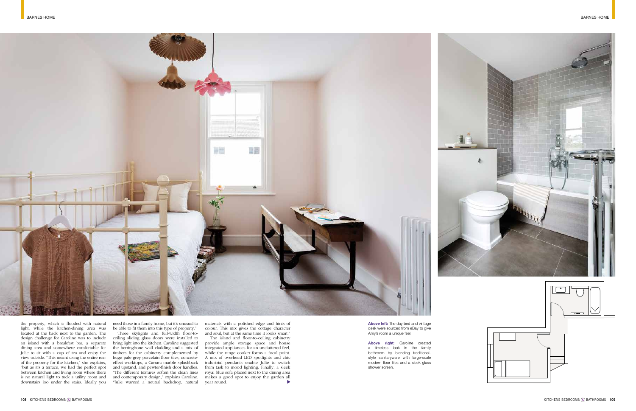

the property, which is flooded with natural light, while the kitchen-dining area was located at the back next to the garden. The design challenge for Caroline was to include an island with a breakfast bar, a separate dining area and somewhere comfortable for Julie to sit with a cup of tea and enjoy the view outside. "This meant using the entire rear huge pale grey porcelain floor tiles, concreteof the property for the kitchen," she explains, "but as it's a terrace, we had the perfect spot between kitchen and living room where there is no natural light to tuck a utility room and downstairs loo under the stairs. Ideally you

need those in a family home, but it's unusual to be able to fit them into this type of property."

> $\blacktriangleright$ provide ample storage space and house integrated appliances for an uncluttered feel, while the range cooker forms a focal point. A mix of overhead LED spotlights and chic industrial pendants enable Julie to switch from task to mood lighting. Finally, a sleek royal blue sofa placed next to the dining area makes a good spot to enjoy the garden all year round.

Three skylights and full-width floor-toceiling sliding glass doors were installed to bring light into the kitchen. Caroline suggested the herringbone wall cladding and a mix of timbers for the cabinetry complemented by effect worktops, a Carrara marble splashback and upstand, and pewter-finish door handles. "The different textures soften the clean lines and contemporary design," explains Caroline. "Julie wanted a neutral backdrop, natural

Above right: Caroline created a timeless look in the family bathroom by blending traditionalstyle sanitaryware with large-scale modern floor tiles and a sleek glass shower screen .



materials with a polished edge and hints of colour. This mix gives the cottage character and soul, but at the same time it looks smart." The island and floor-to-ceiling cabinetry

**Above left:** The day bed and vintage desk were sourced from eBay to give Amy's room a unique feel.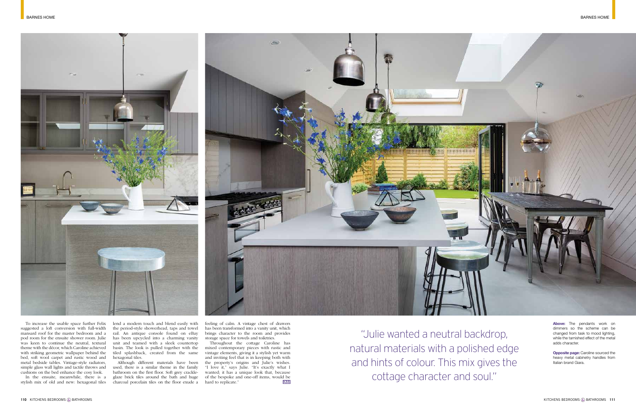



To increase the usable space further Felix suggested a loft conversion with full-width mansard roof for the master bedroom and a pod room for the ensuite shower room. Julie was keen to continue the neutral, textural theme with the décor, which Caroline achieved with striking geometric wallpaper behind the bed, soft wool carpet and rustic wood and metal bedside tables. Vintage-style radiators, simple glass wall lights and tactile throws and cushions on the bed enhance the cosy look.

In the ensuite, meanwhile, there is a stylish mix of old and new: hexagonal tiles

Throughout the cottage Caroline has mixed contemporary pieces with rustic and vintage elements, giving it a stylish yet warm and inviting feel that is in keeping both with the property's origins and Julie's wishes. "I love it," says Julie. "It's exactly what I wanted; it has a unique look that, because of the bespoke and one-off items, would be hard to replicate."  $K<sub>BB</sub>$ hard to replicate."

lend a modern touch and blend easily with the period-style showerhead, taps and towel rail. An antique console found on eBay has been upcycled into a charming vanity unit and teamed with a sleek countertop basin. The look is pulled together with the tiled splashback, created from the same hexagonal tiles.

Although different materials have been used, there is a similar theme in the family bathroom on the first floor. Soft grey crackleglaze brick tiles around the bath and huge charcoal porcelain tiles on the floor exude a feeling of calm. A vintage chest of drawers has been transformed into a vanity unit, which brings character to the room and provides storage space for towels and toiletries.

"Julie wanted a neutral backdrop, natural materials with a polished edge and hints of colour. This mix gives the cottage character and soul."

**Above:** The pendants work on dimmers so the scheme can be changed from task to mood lighting, while the tarnished effect of the metal adds character.

**Opposite page:** Caroline sourced the heavy metal cabinetry handles from Italian brand Giara.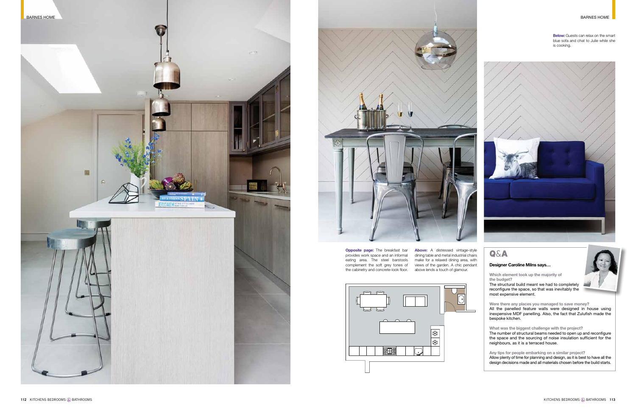## Q&A

## **Designer Caroline Milns says…**

**Which element took up the majority of the budget?** 

The structural build meant we had to completely reconfigure the space, so that was inevitably the most expensive element.

**Were there any places you managed to save money?**  All the panelled feature walls were designed in house using inexpensive MDF panelling. Also, the fact that Zulufish made the bespoke kitchen.

**Below:** Guests can relax on the smart blue sofa and chat to Julie while she is cooking.



**What was the biggest challenge with the project?**  The number of structural beams needed to open up and reconfigure the space and the sourcing of noise insulation sufficient for the neighbours, as it is a terraced house.

**Any tips for people embarking on a similar project?**  Allow plenty of time for planning and design, as it is best to have all the design decisions made and all materials chosen before the build starts.

**Opposite page:** The breakfast bar provides work space and an informal eating area. The steel barstools complement the soft grey tones of the cabinetry and concrete-look floor. above lends a touch of glamour.



**Above:** A distressed vintage-style dining table and metal industrial chairs make for a relaxed dining area, with views of the garden. A chic pendant